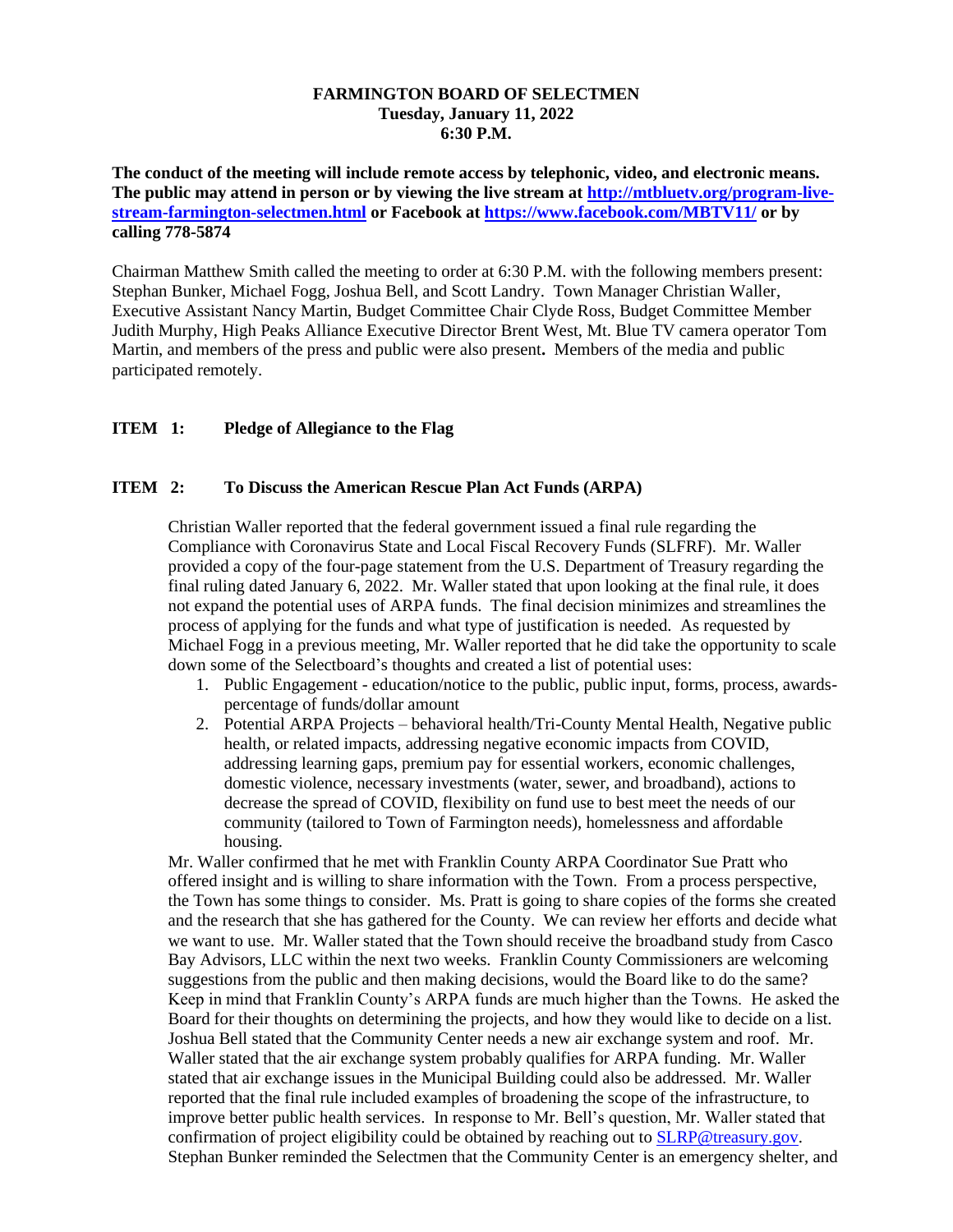#### **FARMINGTON BOARD OF SELECTMEN Tuesday, January 11, 2022 6:30 P.M.**

**The conduct of the meeting will include remote access by telephonic, video, and electronic means. The public may attend in person or by viewing the live stream at [http://mtbluetv.org/program-live](http://mtbluetv.org/program-live-stream-farmington-selectmen.html)[stream-farmington-selectmen.html](http://mtbluetv.org/program-live-stream-farmington-selectmen.html) or Facebook at<https://www.facebook.com/MBTV11/> or by calling 778-5874**

Chairman Matthew Smith called the meeting to order at 6:30 P.M. with the following members present: Stephan Bunker, Michael Fogg, Joshua Bell, and Scott Landry. Town Manager Christian Waller, Executive Assistant Nancy Martin, Budget Committee Chair Clyde Ross, Budget Committee Member Judith Murphy, High Peaks Alliance Executive Director Brent West, Mt. Blue TV camera operator Tom Martin, and members of the press and public were also present**.** Members of the media and public participated remotely.

## **ITEM 1: Pledge of Allegiance to the Flag**

## **ITEM 2: To Discuss the American Rescue Plan Act Funds (ARPA)**

Christian Waller reported that the federal government issued a final rule regarding the Compliance with Coronavirus State and Local Fiscal Recovery Funds (SLFRF). Mr. Waller provided a copy of the four-page statement from the U.S. Department of Treasury regarding the final ruling dated January 6, 2022. Mr. Waller stated that upon looking at the final rule, it does not expand the potential uses of ARPA funds. The final decision minimizes and streamlines the process of applying for the funds and what type of justification is needed. As requested by Michael Fogg in a previous meeting, Mr. Waller reported that he did take the opportunity to scale down some of the Selectboard's thoughts and created a list of potential uses:

- 1. Public Engagement education/notice to the public, public input, forms, process, awardspercentage of funds/dollar amount
- 2. Potential ARPA Projects behavioral health/Tri-County Mental Health, Negative public health, or related impacts, addressing negative economic impacts from COVID, addressing learning gaps, premium pay for essential workers, economic challenges, domestic violence, necessary investments (water, sewer, and broadband), actions to decrease the spread of COVID, flexibility on fund use to best meet the needs of our community (tailored to Town of Farmington needs), homelessness and affordable housing.

Mr. Waller confirmed that he met with Franklin County ARPA Coordinator Sue Pratt who offered insight and is willing to share information with the Town. From a process perspective, the Town has some things to consider. Ms. Pratt is going to share copies of the forms she created and the research that she has gathered for the County. We can review her efforts and decide what we want to use. Mr. Waller stated that the Town should receive the broadband study from Casco Bay Advisors, LLC within the next two weeks. Franklin County Commissioners are welcoming suggestions from the public and then making decisions, would the Board like to do the same? Keep in mind that Franklin County's ARPA funds are much higher than the Towns. He asked the Board for their thoughts on determining the projects, and how they would like to decide on a list. Joshua Bell stated that the Community Center needs a new air exchange system and roof. Mr. Waller stated that the air exchange system probably qualifies for ARPA funding. Mr. Waller stated that air exchange issues in the Municipal Building could also be addressed. Mr. Waller reported that the final rule included examples of broadening the scope of the infrastructure, to improve better public health services. In response to Mr. Bell's question, Mr. Waller stated that confirmation of project eligibility could be obtained by reaching out to **SLRP@treasury.gov.** Stephan Bunker reminded the Selectmen that the Community Center is an emergency shelter, and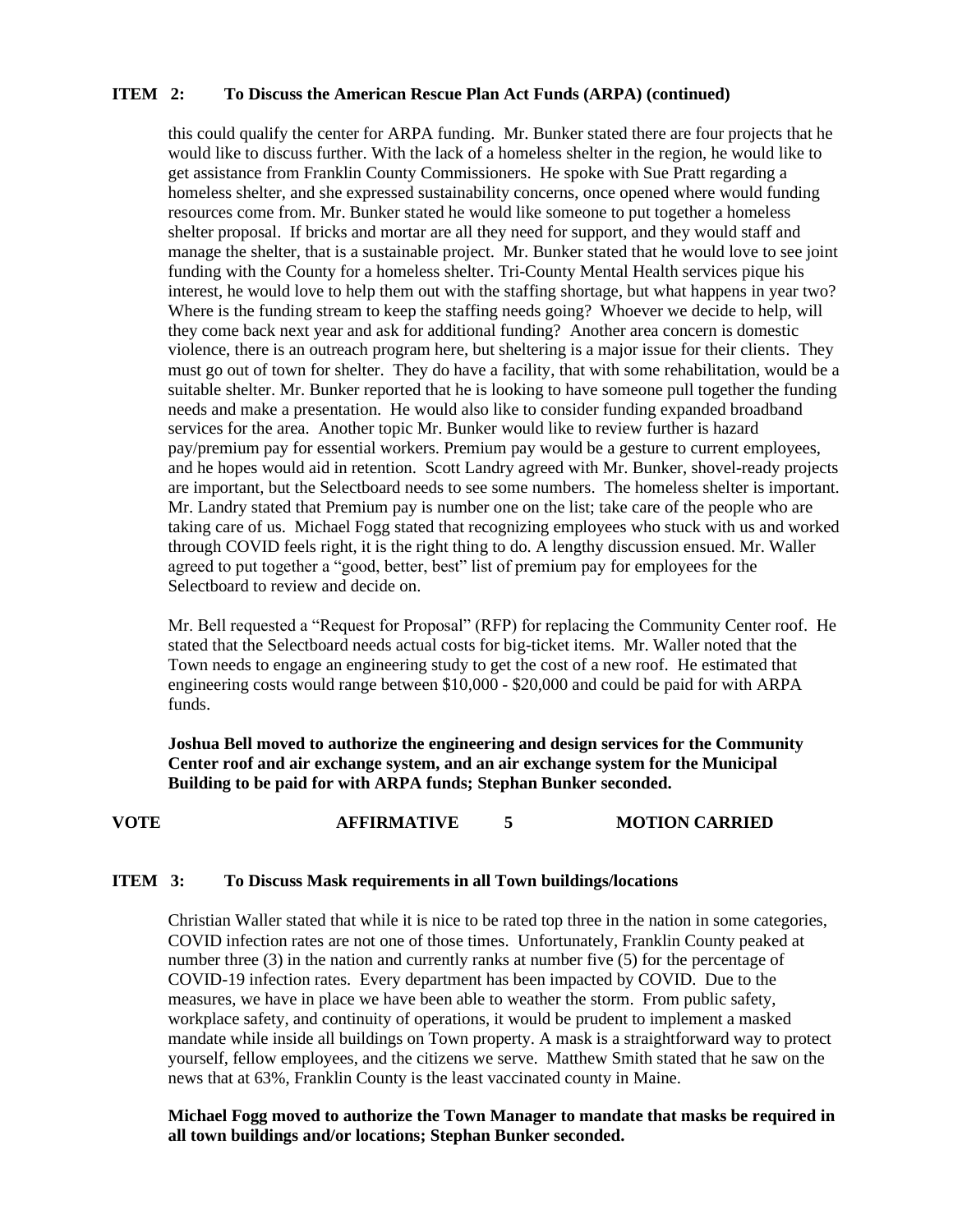### **ITEM 2: To Discuss the American Rescue Plan Act Funds (ARPA) (continued)**

this could qualify the center for ARPA funding. Mr. Bunker stated there are four projects that he would like to discuss further. With the lack of a homeless shelter in the region, he would like to get assistance from Franklin County Commissioners. He spoke with Sue Pratt regarding a homeless shelter, and she expressed sustainability concerns, once opened where would funding resources come from. Mr. Bunker stated he would like someone to put together a homeless shelter proposal. If bricks and mortar are all they need for support, and they would staff and manage the shelter, that is a sustainable project. Mr. Bunker stated that he would love to see joint funding with the County for a homeless shelter. Tri-County Mental Health services pique his interest, he would love to help them out with the staffing shortage, but what happens in year two? Where is the funding stream to keep the staffing needs going? Whoever we decide to help, will they come back next year and ask for additional funding? Another area concern is domestic violence, there is an outreach program here, but sheltering is a major issue for their clients. They must go out of town for shelter. They do have a facility, that with some rehabilitation, would be a suitable shelter. Mr. Bunker reported that he is looking to have someone pull together the funding needs and make a presentation. He would also like to consider funding expanded broadband services for the area. Another topic Mr. Bunker would like to review further is hazard pay/premium pay for essential workers. Premium pay would be a gesture to current employees, and he hopes would aid in retention. Scott Landry agreed with Mr. Bunker, shovel-ready projects are important, but the Selectboard needs to see some numbers. The homeless shelter is important. Mr. Landry stated that Premium pay is number one on the list; take care of the people who are taking care of us. Michael Fogg stated that recognizing employees who stuck with us and worked through COVID feels right, it is the right thing to do. A lengthy discussion ensued. Mr. Waller agreed to put together a "good, better, best" list of premium pay for employees for the Selectboard to review and decide on.

Mr. Bell requested a "Request for Proposal" (RFP) for replacing the Community Center roof. He stated that the Selectboard needs actual costs for big-ticket items. Mr. Waller noted that the Town needs to engage an engineering study to get the cost of a new roof. He estimated that engineering costs would range between \$10,000 - \$20,000 and could be paid for with ARPA funds.

**Joshua Bell moved to authorize the engineering and design services for the Community Center roof and air exchange system, and an air exchange system for the Municipal Building to be paid for with ARPA funds; Stephan Bunker seconded.**

# **VOTE AFFIRMATIVE 5 MOTION CARRIED**

### **ITEM 3: To Discuss Mask requirements in all Town buildings/locations**

Christian Waller stated that while it is nice to be rated top three in the nation in some categories, COVID infection rates are not one of those times. Unfortunately, Franklin County peaked at number three (3) in the nation and currently ranks at number five (5) for the percentage of COVID-19 infection rates. Every department has been impacted by COVID. Due to the measures, we have in place we have been able to weather the storm. From public safety, workplace safety, and continuity of operations, it would be prudent to implement a masked mandate while inside all buildings on Town property. A mask is a straightforward way to protect yourself, fellow employees, and the citizens we serve. Matthew Smith stated that he saw on the news that at 63%, Franklin County is the least vaccinated county in Maine.

**Michael Fogg moved to authorize the Town Manager to mandate that masks be required in all town buildings and/or locations; Stephan Bunker seconded.**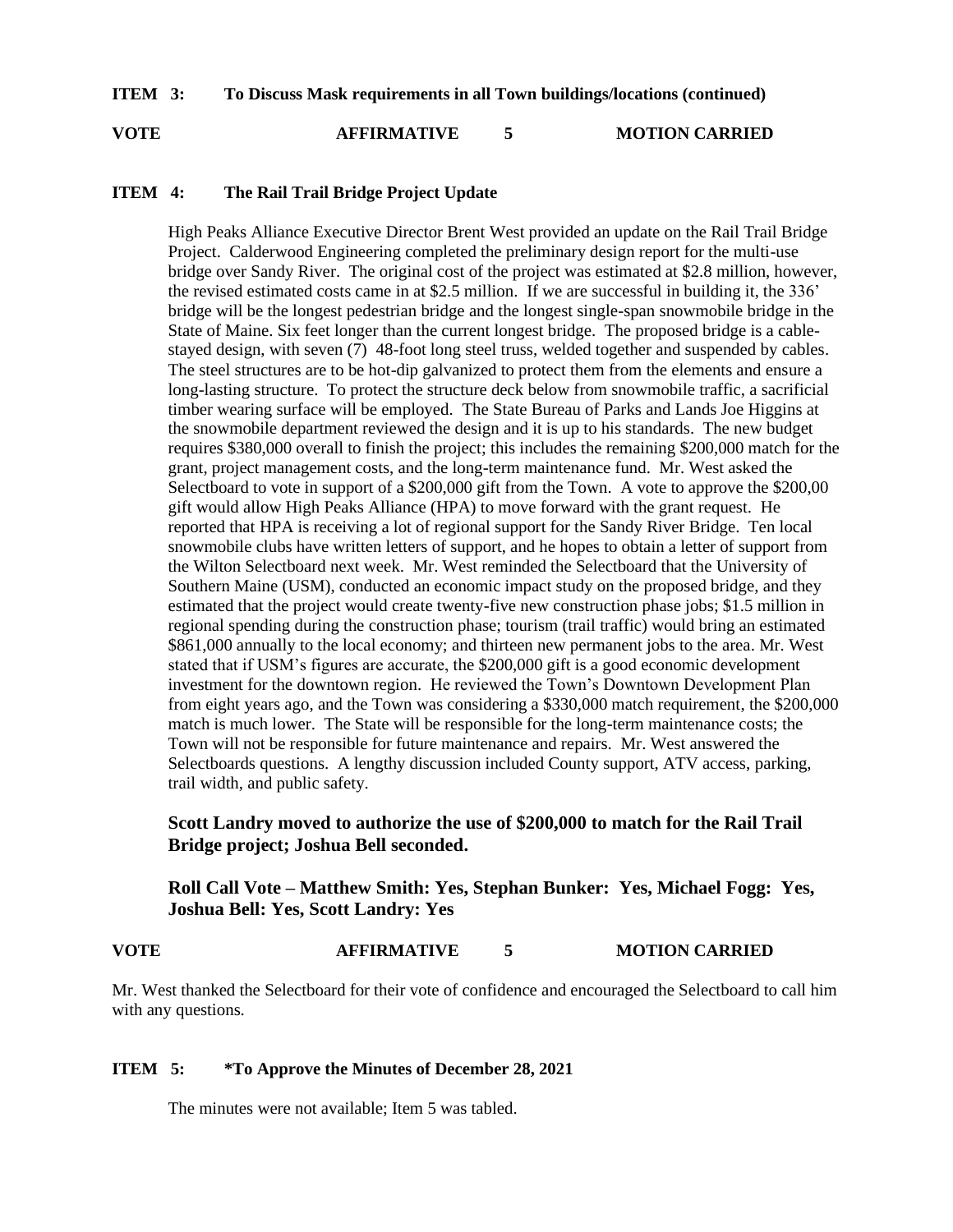**ITEM 3: To Discuss Mask requirements in all Town buildings/locations (continued)**

**VOTE AFFIRMATIVE 5 MOTION CARRIED**

## **ITEM 4: The Rail Trail Bridge Project Update**

High Peaks Alliance Executive Director Brent West provided an update on the Rail Trail Bridge Project. Calderwood Engineering completed the preliminary design report for the multi-use bridge over Sandy River. The original cost of the project was estimated at \$2.8 million, however, the revised estimated costs came in at \$2.5 million. If we are successful in building it, the 336' bridge will be the longest pedestrian bridge and the longest single-span snowmobile bridge in the State of Maine. Six feet longer than the current longest bridge. The proposed bridge is a cablestayed design, with seven (7) 48-foot long steel truss, welded together and suspended by cables. The steel structures are to be hot-dip galvanized to protect them from the elements and ensure a long-lasting structure. To protect the structure deck below from snowmobile traffic, a sacrificial timber wearing surface will be employed. The State Bureau of Parks and Lands Joe Higgins at the snowmobile department reviewed the design and it is up to his standards. The new budget requires \$380,000 overall to finish the project; this includes the remaining \$200,000 match for the grant, project management costs, and the long-term maintenance fund. Mr. West asked the Selectboard to vote in support of a \$200,000 gift from the Town. A vote to approve the \$200,00 gift would allow High Peaks Alliance (HPA) to move forward with the grant request. He reported that HPA is receiving a lot of regional support for the Sandy River Bridge. Ten local snowmobile clubs have written letters of support, and he hopes to obtain a letter of support from the Wilton Selectboard next week. Mr. West reminded the Selectboard that the University of Southern Maine (USM), conducted an economic impact study on the proposed bridge, and they estimated that the project would create twenty-five new construction phase jobs; \$1.5 million in regional spending during the construction phase; tourism (trail traffic) would bring an estimated \$861,000 annually to the local economy; and thirteen new permanent jobs to the area. Mr. West stated that if USM's figures are accurate, the \$200,000 gift is a good economic development investment for the downtown region. He reviewed the Town's Downtown Development Plan from eight years ago, and the Town was considering a \$330,000 match requirement, the \$200,000 match is much lower. The State will be responsible for the long-term maintenance costs; the Town will not be responsible for future maintenance and repairs. Mr. West answered the Selectboards questions. A lengthy discussion included County support, ATV access, parking, trail width, and public safety.

# **Scott Landry moved to authorize the use of \$200,000 to match for the Rail Trail Bridge project; Joshua Bell seconded.**

**Roll Call Vote – Matthew Smith: Yes, Stephan Bunker: Yes, Michael Fogg: Yes, Joshua Bell: Yes, Scott Landry: Yes** 

## **VOTE AFFIRMATIVE 5 MOTION CARRIED**

Mr. West thanked the Selectboard for their vote of confidence and encouraged the Selectboard to call him with any questions.

## **ITEM 5: \*To Approve the Minutes of December 28, 2021**

The minutes were not available; Item 5 was tabled.